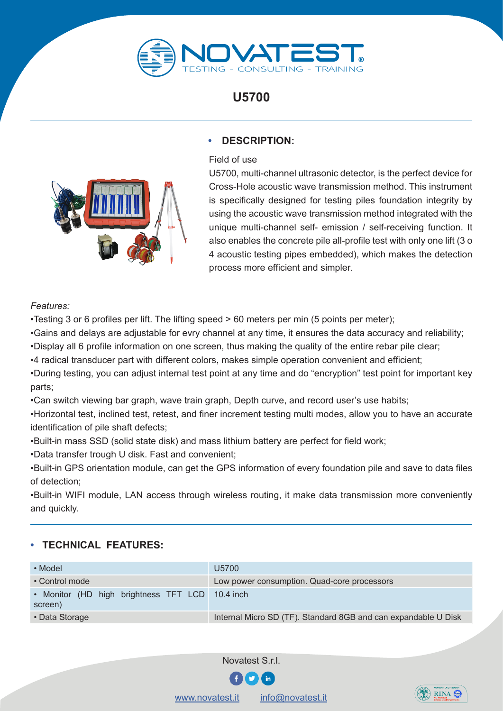

**U5700**



## **• DESCRIPTION:**

Field of use

U5700, multi-channel ultrasonic detector, is the perfect device for Cross-Hole acoustic wave transmission method. This instrument is specifically designed for testing piles foundation integrity by using the acoustic wave transmission method integrated with the unique multi-channel self- emission / self-receiving function. It also enables the concrete pile all-profile test with only one lift (3 o 4 acoustic testing pipes embedded), which makes the detection process more efficient and simpler.

## *Features:*

•Testing 3 or 6 profiles per lift. The lifting speed > 60 meters per min (5 points per meter);

•Gains and delays are adjustable for evry channel at any time, it ensures the data accuracy and reliability;

•Display all 6 profile information on one screen, thus making the quality of the entire rebar pile clear;

•4 radical transducer part with different colors, makes simple operation convenient and efficient;

•During testing, you can adjust internal test point at any time and do "encryption" test point for important key parts;

•Can switch viewing bar graph, wave train graph, Depth curve, and record user's use habits;

•Horizontal test, inclined test, retest, and finer increment testing multi modes, allow you to have an accurate identification of pile shaft defects;

•Built-in mass SSD (solid state disk) and mass lithium battery are perfect for field work;

•Data transfer trough U disk. Fast and convenient;

•Built-in GPS orientation module, can get the GPS information of every foundation pile and save to data files of detection;

•Built-in WIFI module, LAN access through wireless routing, it make data transmission more conveniently and quickly.

## **• TECHNICAL FEATURES:**

| • Model                                                    | U5700                                                          |
|------------------------------------------------------------|----------------------------------------------------------------|
| • Control mode                                             | Low power consumption. Quad-core processors                    |
| • Monitor (HD high brightness TFT LCD 10.4 inch<br>screen) |                                                                |
| • Data Storage                                             | Internal Micro SD (TF). Standard 8GB and can expandable U Disk |



[www.novatest.it](http://www.novatest.it) [info@novatest.it](mailto:info%40novatest.it?subject=info%20-%20Novatest)